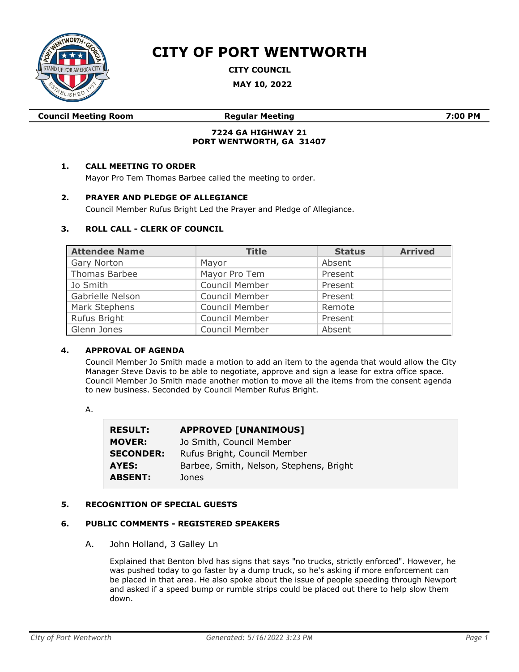

# **CITY OF PORT WENTWORTH**

**CITY COUNCIL**

**MAY 10, 2022**

|  | <b>Council Meeting Room</b> |  |
|--|-----------------------------|--|
|--|-----------------------------|--|

**Council Meeting Room Regular Meeting 7:00 PM**

## **7224 GA HIGHWAY 21 PORT WENTWORTH, GA 31407**

# **1. CALL MEETING TO ORDER**

Mayor Pro Tem Thomas Barbee called the meeting to order.

## **2. PRAYER AND PLEDGE OF ALLEGIANCE**

Council Member Rufus Bright Led the Prayer and Pledge of Allegiance.

## **3. ROLL CALL - CLERK OF COUNCIL**

| <b>Attendee Name</b> | <b>Title</b>          | <b>Status</b> | <b>Arrived</b> |
|----------------------|-----------------------|---------------|----------------|
| Gary Norton          | Mayor                 | Absent        |                |
| Thomas Barbee        | Mayor Pro Tem         | Present       |                |
| Jo Smith             | <b>Council Member</b> | Present       |                |
| Gabrielle Nelson     | <b>Council Member</b> | Present       |                |
| Mark Stephens        | <b>Council Member</b> | Remote        |                |
| Rufus Bright         | <b>Council Member</b> | Present       |                |
| Glenn Jones          | <b>Council Member</b> | Absent        |                |

# **4. APPROVAL OF AGENDA**

Council Member Jo Smith made a motion to add an item to the agenda that would allow the City Manager Steve Davis to be able to negotiate, approve and sign a lease for extra office space. Council Member Jo Smith made another motion to move all the items from the consent agenda to new business. Seconded by Council Member Rufus Bright.

A.

| <b>RESULT:</b>   | <b>APPROVED [UNANIMOUS]</b>             |
|------------------|-----------------------------------------|
| <b>MOVER:</b>    | Jo Smith, Council Member                |
| <b>SECONDER:</b> | Rufus Bright, Council Member            |
| AYES:            | Barbee, Smith, Nelson, Stephens, Bright |
| <b>ABSENT:</b>   | Jones                                   |

## **5. RECOGNITION OF SPECIAL GUESTS**

#### **6. PUBLIC COMMENTS - REGISTERED SPEAKERS**

A. John Holland, 3 Galley Ln

Explained that Benton blvd has signs that says "no trucks, strictly enforced". However, he was pushed today to go faster by a dump truck, so he's asking if more enforcement can be placed in that area. He also spoke about the issue of people speeding through Newport and asked if a speed bump or rumble strips could be placed out there to help slow them down.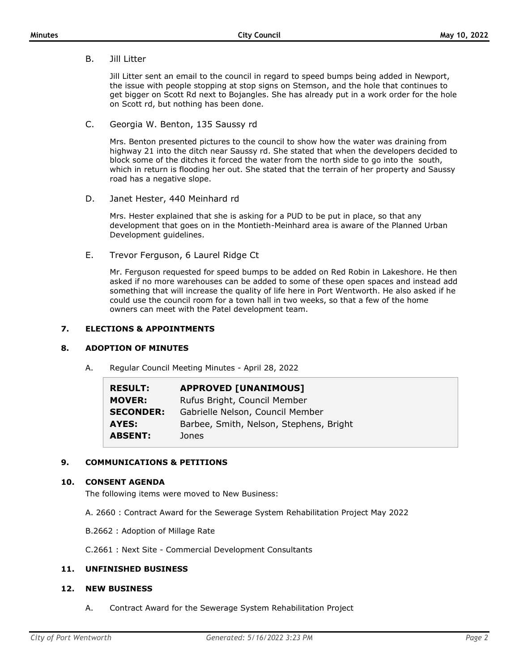B. Jill Litter

Jill Litter sent an email to the council in regard to speed bumps being added in Newport, the issue with people stopping at stop signs on Stemson, and the hole that continues to get bigger on Scott Rd next to Bojangles. She has already put in a work order for the hole on Scott rd, but nothing has been done.

C. Georgia W. Benton, 135 Saussy rd

Mrs. Benton presented pictures to the council to show how the water was draining from highway 21 into the ditch near Saussy rd. She stated that when the developers decided to block some of the ditches it forced the water from the north side to go into the south, which in return is flooding her out. She stated that the terrain of her property and Saussy road has a negative slope.

D. Janet Hester, 440 Meinhard rd

Mrs. Hester explained that she is asking for a PUD to be put in place, so that any development that goes on in the Montieth-Meinhard area is aware of the Planned Urban Development guidelines.

E. Trevor Ferguson, 6 Laurel Ridge Ct

Mr. Ferguson requested for speed bumps to be added on Red Robin in Lakeshore. He then asked if no more warehouses can be added to some of these open spaces and instead add something that will increase the quality of life here in Port Wentworth. He also asked if he could use the council room for a town hall in two weeks, so that a few of the home owners can meet with the Patel development team.

## **7. ELECTIONS & APPOINTMENTS**

#### **8. ADOPTION OF MINUTES**

A. Regular Council Meeting Minutes - April 28, 2022

| <b>RESULT:</b>   | <b>APPROVED [UNANIMOUS]</b>             |
|------------------|-----------------------------------------|
| <b>MOVER:</b>    | Rufus Bright, Council Member            |
| <b>SECONDER:</b> | Gabrielle Nelson, Council Member        |
| AYES:            | Barbee, Smith, Nelson, Stephens, Bright |
| <b>ABSENT:</b>   | Jones                                   |

## **9. COMMUNICATIONS & PETITIONS**

## **10. CONSENT AGENDA**

The following items were moved to New Business:

- A. 2660 : Contract Award for the Sewerage System Rehabilitation Project May 2022
- B.2662 : Adoption of Millage Rate

C.2661 : Next Site - Commercial Development Consultants

## **11. UNFINISHED BUSINESS**

## **12. NEW BUSINESS**

A. Contract Award for the Sewerage System Rehabilitation Project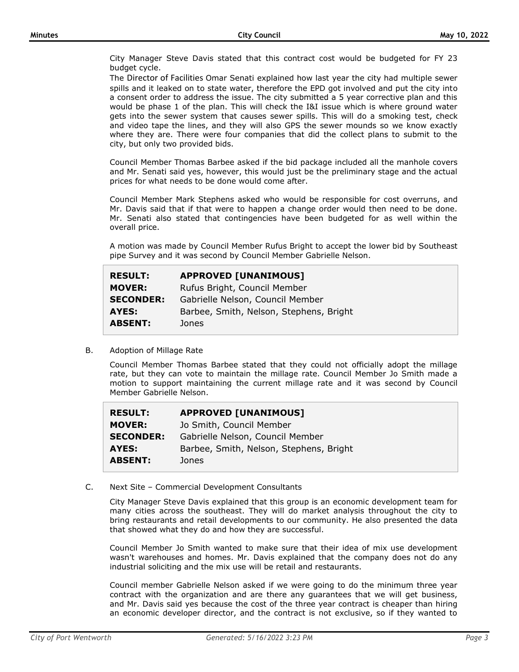City Manager Steve Davis stated that this contract cost would be budgeted for FY 23 budget cycle.

The Director of Facilities Omar Senati explained how last year the city had multiple sewer spills and it leaked on to state water, therefore the EPD got involved and put the city into a consent order to address the issue. The city submitted a 5 year corrective plan and this would be phase 1 of the plan. This will check the I&I issue which is where ground water gets into the sewer system that causes sewer spills. This will do a smoking test, check and video tape the lines, and they will also GPS the sewer mounds so we know exactly where they are. There were four companies that did the collect plans to submit to the city, but only two provided bids.

Council Member Thomas Barbee asked if the bid package included all the manhole covers and Mr. Senati said yes, however, this would just be the preliminary stage and the actual prices for what needs to be done would come after.

Council Member Mark Stephens asked who would be responsible for cost overruns, and Mr. Davis said that if that were to happen a change order would then need to be done. Mr. Senati also stated that contingencies have been budgeted for as well within the overall price.

A motion was made by Council Member Rufus Bright to accept the lower bid by Southeast pipe Survey and it was second by Council Member Gabrielle Nelson.

| <b>RESULT:</b>   | <b>APPROVED [UNANIMOUS]</b>             |
|------------------|-----------------------------------------|
| <b>MOVER:</b>    | Rufus Bright, Council Member            |
| <b>SECONDER:</b> | Gabrielle Nelson, Council Member        |
| AYES:            | Barbee, Smith, Nelson, Stephens, Bright |
| <b>ABSENT:</b>   | Jones                                   |
|                  |                                         |

B. Adoption of Millage Rate

Council Member Thomas Barbee stated that they could not officially adopt the millage rate, but they can vote to maintain the millage rate. Council Member Jo Smith made a motion to support maintaining the current millage rate and it was second by Council Member Gabrielle Nelson.

| Jo Smith, Council Member                |
|-----------------------------------------|
|                                         |
| Gabrielle Nelson, Council Member        |
| Barbee, Smith, Nelson, Stephens, Bright |
| Jones                                   |
|                                         |

C. Next Site – Commercial Development Consultants

City Manager Steve Davis explained that this group is an economic development team for many cities across the southeast. They will do market analysis throughout the city to bring restaurants and retail developments to our community. He also presented the data that showed what they do and how they are successful.

Council Member Jo Smith wanted to make sure that their idea of mix use development wasn't warehouses and homes. Mr. Davis explained that the company does not do any industrial soliciting and the mix use will be retail and restaurants.

Council member Gabrielle Nelson asked if we were going to do the minimum three year contract with the organization and are there any guarantees that we will get business, and Mr. Davis said yes because the cost of the three year contract is cheaper than hiring an economic developer director, and the contract is not exclusive, so if they wanted to